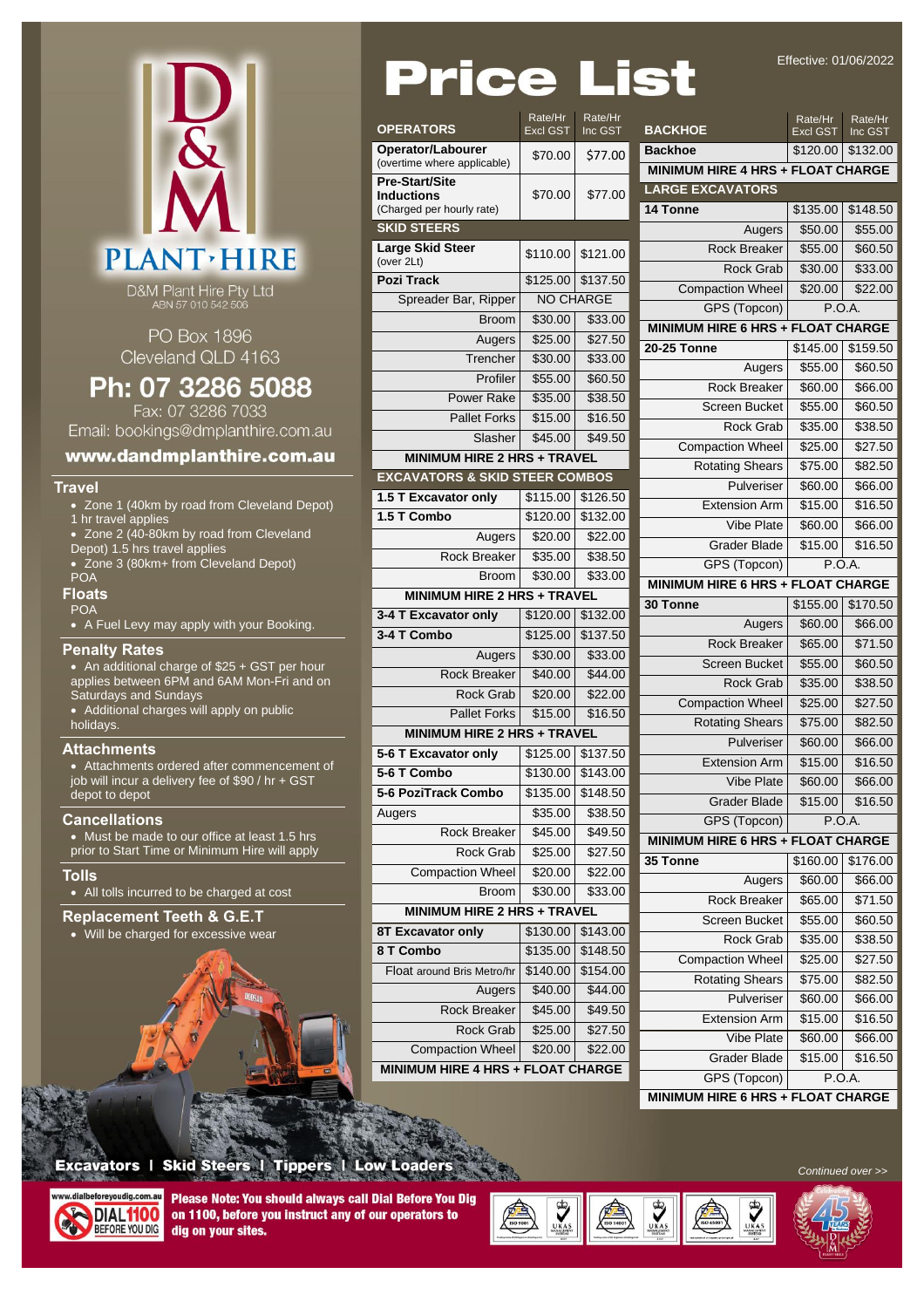Effective: 01/06/2022

| M                 |
|-------------------|
| <b>PLANT HIRE</b> |

D&M Plant Hire Pty Ltd<br>ABN 57 010 542 506

PO Box 1896 Cleveland QLD 4163

# Ph: 07 3286 5088

Fax: 07 3286 7033 Email: bookings@dmplanthire.com.au

### www.dandmplanthire.com.au

#### **Travel**

- Zone 1 (40km by road from Cleveland Depot)
- - 1 hr travel applies
	- Zone 2 (40-80km by road from Cleveland
	- Depot) 1.5 hrs travel applies
	- Zone 3 (80km+ from Cleveland Depot) POA

### **Floats**

POA

• A Fuel Levy may apply with your Booking.

#### **Penalty Rates**

• An additional charge of \$25 + GST per hour applies between 6PM and 6AM Mon-Fri and on Saturdays and Sundays

• Additional charges will apply on public holidays.

#### **Attachments**

• Attachments ordered after commencement of job will incur a delivery fee of \$90 / hr + GST depot to depot

#### **Cancellations**

• Must be made to our office at least 1.5 hrs prior to Start Time or Minimum Hire will apply

#### **Tolls**

• All tolls incurred to be charged at cost

### **Replacement Teeth & G.E.T**

• Will be charged for excessive wear



| Price                                                                   |                            |                      | st                               |
|-------------------------------------------------------------------------|----------------------------|----------------------|----------------------------------|
| <b>OPERATORS</b>                                                        | Rate/Hr<br><b>Excl GST</b> | Rate/Hr<br>Inc GST   | <b>BACKHC</b>                    |
| Operator/Labourer<br>(overtime where applicable)                        | \$70.00                    | \$77.00              | <b>Backhoe</b><br><b>MINIMUI</b> |
| <b>Pre-Start/Site</b><br><b>Inductions</b><br>(Charged per hourly rate) | \$70.00                    | \$77.00              | <b>LARGE E</b><br>14 Tonne       |
| <b>SKID STEERS</b>                                                      |                            |                      |                                  |
| Large Skid Steer<br>(over 2Lt)                                          | \$110.00                   | \$121.00             |                                  |
| <b>Pozi Track</b>                                                       | \$125.00                   | \$137.50             | Cor                              |
| Spreader Bar, Ripper                                                    | <b>NO CHARGE</b>           |                      |                                  |
| <b>Broom</b>                                                            | \$30.00                    | \$33.00              | <b>MINIMUI</b>                   |
| Augers                                                                  | \$25.00                    | \$27.50              | 20-25 To                         |
| Trencher                                                                | \$30.00                    | \$33.00              |                                  |
| Profiler                                                                | \$55.00                    | \$60.50              |                                  |
| Power Rake                                                              | \$35.00                    | \$38.50              |                                  |
| <b>Pallet Forks</b>                                                     | \$15.00                    | \$16.50              |                                  |
| <b>Slasher</b>                                                          | \$45.00                    | \$49.50              | $\overline{\text{C}}$ or         |
| <b>MINIMUM HIRE 2 HRS + TRAVEL</b>                                      |                            |                      |                                  |
| <b>EXCAVATORS &amp; SKID STEER COMBOS</b>                               |                            |                      |                                  |
| 1.5 T Excavator only                                                    | \$115.00                   | \$126.50             |                                  |
| 1.5 T Combo                                                             | \$120.00                   | \$132.00             |                                  |
| Augers                                                                  | \$20.00                    | \$22.00              |                                  |
| Rock Breaker                                                            | \$35.00                    | \$38.50              |                                  |
| Broom                                                                   | \$30.00                    | \$33.00              | <b>MINIMUI</b>                   |
| <b>MINIMUM HIRE 2 HRS + TRAVEL</b>                                      |                            |                      | 30 Tonne                         |
| 3-4 T Excavator only                                                    | \$120.00                   | \$132.00             |                                  |
| 3-4 T Combo                                                             |                            |                      |                                  |
|                                                                         | \$125.00                   | \$137.50             |                                  |
| Augers                                                                  | \$30.00                    | \$33.00              |                                  |
| Rock Breaker                                                            | \$40.00                    | \$44.00              |                                  |
| Rock Grab                                                               | \$20.00                    | \$22.00              | Cor                              |
| <b>Pallet Forks</b>                                                     | \$15.00                    | \$16.50              |                                  |
| <b>MINIMUM HIRE 2 HRS + TRAVEL</b>                                      |                            |                      |                                  |
| 5-6 T Excavator only                                                    |                            | \$125.00 \$137.50    |                                  |
| 5-6 T Combo                                                             | \$130.00                   | \$143.00             |                                  |
| 5-6 PoziTrack Combo                                                     | \$135.00                   | \$148.50             |                                  |
| Augers                                                                  | \$35.00                    | \$38.50              |                                  |
| Rock Breaker                                                            | \$45.00                    | \$49.50              | <b>MINIMUI</b>                   |
| Rock Grab                                                               | \$25.00                    | \$27.50              | 35 Tonne                         |
| <b>Compaction Wheel</b>                                                 | \$20.00                    | \$22.00              |                                  |
| Broom                                                                   | \$30.00                    | \$33.00              |                                  |
| <b>MINIMUM HIRE 2 HRS + TRAVEL</b>                                      |                            |                      |                                  |
| 8T Excavator only                                                       | \$130.00                   | \$143.00             |                                  |
| 8 T Combo<br>Float around Bris Metro/hr                                 | \$135.00<br>\$140.00       | \$148.50<br>\$154.00 | Cor                              |

**MINIMUM HIRE 4 HRS + FLOAT CHARGE**

**WAN** 

UKA!

| <b>ATORS</b>                          | Rate/Hr<br><b>Excl GST</b> | Rate/Hr<br>Inc GST | <b>BACKHOE</b>                           | Rate/Hr<br>Excl GST | Rate/Hr<br>Inc GST  |
|---------------------------------------|----------------------------|--------------------|------------------------------------------|---------------------|---------------------|
| ator/Labourer                         | \$70.00                    | \$77.00            | <b>Backhoe</b>                           | \$120.00            | \$132.00            |
| me where applicable)                  |                            |                    | MINIMUM HIRE 4 HRS + FLOAT CHARGE        |                     |                     |
| tart/Site<br>tions:                   | \$70.00                    | \$77.00            | <b>LARGE EXCAVATORS</b>                  |                     |                     |
| ed per hourly rate)                   |                            |                    | 14 Tonne                                 | \$135.00            | \$148.50            |
| <b>STEERS</b>                         |                            |                    | Augers                                   | \$50.00             | \$55.00             |
| <b>Skid Steer</b>                     | \$110.00                   | \$121.00           | <b>Rock Breaker</b>                      | \$55.00             | \$60.50             |
| ?Lt)                                  |                            |                    | <b>Rock Grab</b>                         | \$30.00             | \$33.00             |
| <b>Track</b>                          | \$125.00                   | \$137.50           | <b>Compaction Wheel</b>                  | \$20.00             | \$22.00             |
| preader Bar, Ripper                   | <b>NO CHARGE</b>           |                    | GPS (Topcon)                             | P.O.A.              |                     |
| <b>Broom</b>                          | \$30.00                    | \$33.00            | <b>MINIMUM HIRE 6 HRS + FLOAT CHARGE</b> |                     |                     |
| Augers                                | \$25.00                    | \$27.50            | <b>20-25 Tonne</b>                       | \$145.00            | \$159.50            |
| Trencher                              | \$30.00                    | \$33.00            | Augers                                   | \$55.00             | \$60.50             |
| Profiler                              | \$55.00                    | \$60.50            | Rock Breaker                             | \$60.00             | \$66.00             |
| <b>Power Rake</b>                     | \$35.00                    | \$38.50            | <b>Screen Bucket</b>                     | \$55.00             | \$60.50             |
| <b>Pallet Forks</b>                   | \$15.00                    | \$16.50            | <b>Rock Grab</b>                         | \$35.00             | \$38.50             |
| Slasher                               | \$45.00                    | \$49.50            | <b>Compaction Wheel</b>                  | \$25.00             | \$27.50             |
| <b>MINIMUM HIRE 2 HRS + TRAVEL</b>    |                            |                    | <b>Rotating Shears</b>                   | \$75.00             | \$82.50             |
| <b>VATORS &amp; SKID STEER COMBOS</b> |                            |                    | Pulveriser                               | \$60.00             | \$66.00             |
| <b>Excavator only</b>                 | \$115.00                   | \$126.50           | <b>Extension Arm</b>                     | \$15.00             | \$16.50             |
| Combo                                 | \$120.00                   | \$132.00           | <b>Vibe Plate</b>                        | \$60.00             | \$66.00             |
| Augers                                | \$20.00                    | \$22.00            | <b>Grader Blade</b>                      | \$15.00             | \$16.50             |
| <b>Rock Breaker</b>                   | \$35.00                    | \$38.50            | GPS (Topcon)                             | P.O.A.              |                     |
| <b>Broom</b>                          | \$30.00                    | \$33.00            | MINIMUM HIRE 6 HRS + FLOAT CHARGE        |                     |                     |
| <b>MINIMUM HIRE 2 HRS + TRAVEL</b>    |                            |                    | 30 Tonne                                 | \$155.00            | \$170.50            |
| <b>Excavator only</b>                 | \$120.00                   | \$132.00           | Augers                                   | \$60.00             | \$66.00             |
| Combo                                 | \$125.00                   | \$137.50           | Rock Breaker                             | \$65.00             | \$71.50             |
| Augers                                | \$30.00                    | \$33.00            | <b>Screen Bucket</b>                     | \$55.00             | \$60.50             |
| <b>Rock Breaker</b>                   | \$40.00                    | \$44.00            | <b>Rock Grab</b>                         | \$35.00             | \$38.50             |
| <b>Rock Grab</b>                      | \$20.00                    | \$22.00            | <b>Compaction Wheel</b>                  | \$25.00             | \$27.50             |
| <b>Pallet Forks</b>                   | \$15.00                    | \$16.50            | <b>Rotating Shears</b><br>\$75.00        |                     | \$82.50             |
| <b>MINIMUM HIRE 2 HRS + TRAVEL</b>    |                            |                    | Pulveriser                               | \$60.00             | \$66.00             |
| <b>Excavator only</b>                 | \$125.00                   | \$137.50           | <b>Extension Arm</b>                     | \$15.00             | \$16.50             |
| Combo                                 | \$130.00                   | \$143.00           | <b>Vibe Plate</b>                        | \$60.00             | \$66.00             |
| oziTrack Combo                        | \$135.00                   | \$148.50           | <b>Grader Blade</b>                      | \$15.00             | \$16.50             |
|                                       | \$35.00                    | \$38.50            | GPS (Topcon)                             | P.O.A.              |                     |
| Rock Breaker                          | \$45.00                    | \$49.50            | MINIMUM HIRE 6 HRS + FLOAT CHARGE        |                     |                     |
| Rock Grab                             | \$25.00                    | \$27.50            | 35 Tonne                                 | \$160.00            | \$176.00            |
| <b>Compaction Wheel</b>               | \$20.00                    | \$22.00            | Augers                                   | \$60.00             | \$66.00             |
| <b>Broom</b>                          | \$30.00                    | \$33.00            | Rock Breaker                             | \$65.00             | \$71.50             |
| <b>MINIMUM HIRE 2 HRS + TRAVEL</b>    |                            |                    | Screen Bucket                            | \$55.00             | \$60.50             |
| cavator only                          | \$130.00                   | \$143.00           | Rock Grab                                | \$35.00             | $\overline{$}38.50$ |
| ombo                                  | \$135.00                   | \$148.50           | <b>Compaction Wheel</b>                  | \$25.00             | \$27.50             |
| t around Bris Metro/hr                | \$140.00                   | \$154.00           | <b>Rotating Shears</b>                   | \$75.00             | \$82.50             |
| Augers                                | \$40.00                    | \$44.00            | Pulveriser                               | \$60.00             | \$66.00             |
| Rock Breaker                          | \$45.00                    | \$49.50            | <b>Extension Arm</b>                     | \$15.00             | \$16.50             |
| Rock Grab                             | \$25.00                    | \$27.50            | Vibe Plate                               | \$60.00             | \$66.00             |
| <b>Compaction Wheel</b>               | \$20.00                    | \$22.00            | Grader Blade                             | \$15.00             | \$16.50             |
| <b>MUM HIRE 4 HRS + FLOAT CHARGE</b>  |                            |                    | GPS (Topcon)                             | P.O.A.              |                     |
|                                       |                            |                    | MINIMUM HIRE 6 HRS + FLOAT CHARGE        |                     |                     |
|                                       |                            |                    |                                          |                     |                     |

*Continued over >>*

# **Excavators | Skid Steers | Tippers | Low Loaders**



Please Note: You should always call Dial Before You Dig on 1100, before you instruct any of our operators to dig on your sites.